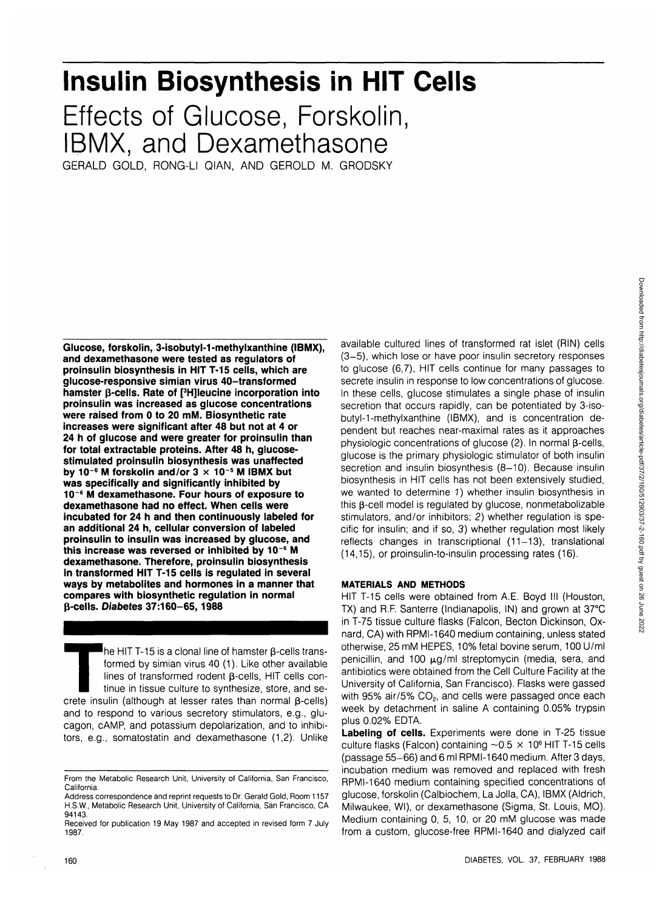# **Insulin Biosynthesis in HIT Cells**

Effects of Glucose, Forskolin, IBMX, and Dexamethasone

GERALD GOLD, RONG-LI QIAN, AND GEROLD M. GRODSKY

**Glucose, forskolin, 3-isobutyl-1-methylxanthine (IBMX), and dexamethasone were tested as regulators of proinsulin biosynthesis in HIT T-15 cells, which are glucose-responsive simian virus 40-transformed hamster β-cells. Rate of [<sup>3</sup>H]leucine incorporation into proinsulin was increased as glucose concentrations were raised from 0 to 20 mM. Biosynthetic rate increases were significant after 48 but not at 4 or 24 h of glucose and were greater for proinsulin than for total extractable proteins. After 48 h, glucosestimulated proinsulin biosynthesis was unaffected by 10"<sup>6</sup> M forskolin and/or 3 x 10 <sup>s</sup> M IBMX but was specifically and significantly inhibited by 10~6 M dexamethasone. Four hours of exposure to dexamethasone had no effect. When cells were incubated for 24 h and then continuously labeled for an additional 24 h, cellular conversion of labeled proinsulin to insulin was increased by glucose, and this increase was reversed or inhibited by 10~6 M dexamethasone. Therefore, proinsulin biosynthesis in transformed HIT T-15 cells is regulated in several ways by metabolites and hormones in a manner that compares with biosynthetic regulation in normal 3-cells. Diabetes 37:160-65,1988**

The HIT T-15 is a clonal line of hamster  $\beta$ -cells trans-<br>formed by simian virus 40 (1). Like other available<br>lines of transformed rodent  $\beta$ -cells, HIT cells con-<br>tinue in tissue culture to synthesize, store, and se-<br>c formed by simian virus 40 (1). Like other available lines of transformed rodent  $\beta$ -cells, HIT cells continue in tissue culture to synthesize, store, and seand to respond to various secretory stimulators, e.g., glucagon, cAMP, and potassium depolarization, and to inhibitors, e.g., somatostatin and dexamethasone (1,2). Unlike available cultured lines of transformed rat islet (RIN) cells (3-5), which lose or have poor insulin secretory responses to glucose (6,7), HIT cells continue for many passages to secrete insulin in response to low concentrations of glucose. In these cells, glucose stimulates a single phase of insulin secretion that occurs rapidly, can be potentiated by 3-isobutyl-1-methylxanthine (IBMX), and is concentration dependent but reaches near-maximal rates as it approaches physiologic concentrations of glucose  $(2)$ . In normal  $\beta$ -cells, glucose is the primary physiologic stimulator of both insulin secretion and insulin biosynthesis (8-10). Because insulin biosynthesis in HIT cells has not been extensively studied, we wanted to determine 1) whether insulin biosynthesis in this B-cell model is regulated by glucose, nonmetabolizable stimulators, and/or inhibitors; 2) whether regulation is specific for insulin; and if so, 3) whether regulation most likely reflects changes in transcriptional (11-13), translational (14,15), or proinsulin-to-insulin processing rates (16).

# **MATERIALS AND METHODS**

HIT T-15 cells were obtained from A.E. Boyd III (Houston, TX) and R.F. Santerre (Indianapolis, IN) and grown at 37°C in T-75 tissue culture flasks (Falcon, Becton Dickinson, Oxnard, CA) with RPMI-1640 medium containing, unless stated otherwise, 25 mM HEPES, 10% fetal bovine serum, 100 U/ml penicillin, and 100  $\mu$ g/ml streptomycin (media, sera, and antibiotics were obtained from the Cell Culture Facility at the University of California, San Francisco). Flasks were gassed with 95% air/5% CO<sub>2</sub>, and cells were passaged once each week by detachment in saline A containing 0.05% trypsin plus 0.02% EDTA.

**Labeling of cells.** Experiments were done in T-25 tissue culture flasks (Falcon) containing  $\sim$  0.5  $\times$  10<sup>6</sup> HIT T-15 cells (passage 55-66) and 6 ml RPMI-1640 medium. After 3 days, incubation medium was removed and replaced with fresh RPMI-1640 medium containing specified concentrations of glucose, forskolin (Calbiochem, La Jolla, CA), IBMX (Aldrich, Milwaukee, Wl), or dexamethasone (Sigma, St. Louis, MO). Medium containing 0, 5, 10, or 20 mM glucose was made from a custom, glucose-free RPMI-1640 and dialyzed calf

From the Metabolic Research Unit, University of California, San Francisco, California.

Address correspondence and reprint requests to Dr. Gerald Gold, Room 1157 H.S.W., Metabolic Research Unit, University of California, San Francisco, CA 94143.

Received for publication 19 May 1987 and accepted in revised form 7 July 1987.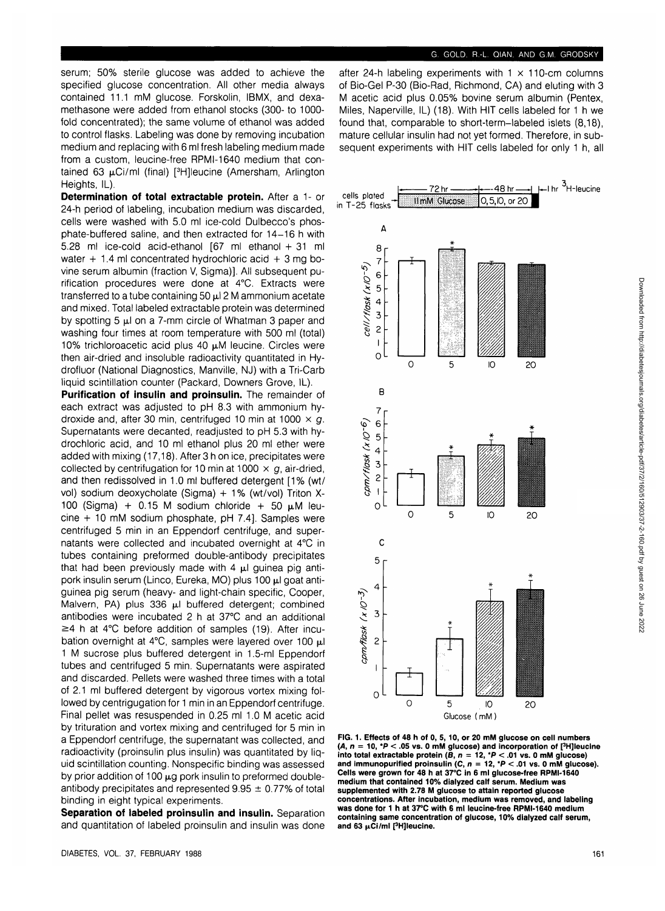serum; 50% sterile glucose was added to achieve the specified glucose concentration. All other media always contained 11.1 mM glucose. Forskolin, IBMX, and dexamethasone were added from ethanol stocks (300- to 1000 fold concentrated); the same volume of ethanol was added to control flasks. Labeling was done by removing incubation medium and replacing with 6 ml fresh labeling medium made from a custom, leucine-free RPMI-1640 medium that contained 63 µCi/ml (final) [<sup>3</sup>H]leucine (Amersham, Arlington Heights, IL).

**Determination of total extractable protein.** After a 1- or 24-h period of labeling, incubation medium was discarded, cells were washed with 5.0 ml ice-cold Dulbecco's phosphate-buffered saline, and then extracted for 14-16 h with 5.28 ml ice-cold acid-ethanol [67 ml ethanol + 31 ml water  $+1.4$  ml concentrated hydrochloric acid  $+3$  mg bovine serum albumin (fraction V, Sigma)]. All subsequent purification procedures were done at 4°C. Extracts were transferred to a tube containing 50  $\mu$ l 2 M ammonium acetate and mixed. Total labeled extractable protein was determined by spotting 5  $\mu$ I on a 7-mm circle of Whatman 3 paper and washing four times at room temperature with 500 ml (total) 10% trichloroacetic acid plus 40  $\mu$ M leucine. Circles were then air-dried and insoluble radioactivity quantitated in Hydrofluor (National Diagnostics, Manville, NJ) with a Tri-Carb liquid scintillation counter (Packard, Downers Grove, IL).

**Purification of insulin and proinsulin.** The remainder of each extract was adjusted to pH 8.3 with ammonium hydroxide and, after 30 min, centrifuged 10 min at 1000  $\times$  g. Supernatants were decanted, readjusted to pH 5.3 with hydrochloric acid, and 10 ml ethanol plus 20 ml ether were added with mixing (17,18). After 3 h on ice, precipitates were collected by centrifugation for 10 min at 1000  $\times$  g, air-dried, and then redissolved in 1.0 ml buffered detergent [1% (wt/ vol) sodium deoxycholate (Sigma) + 1% (wt/vol) Triton X-100 (Sigma) + 0.15 M sodium chloride + 50  $\mu$ M leucine + 10 mM sodium phosphate, pH 7.4]. Samples were centrifuged 5 min in an Eppendorf centrifuge, and supernatants were collected and incubated overnight at 4°C in tubes containing preformed double-antibody precipitates that had been previously made with 4  $\mu$ l guinea pig antipork insulin serum (Linco, Eureka, MO) plus 100  $\mu$ l goat antiguinea pig serum (heavy- and light-chain specific, Cooper, Malvern, PA) plus  $336$   $\mu$ l buffered detergent; combined antibodies were incubated 2 h at 37°C and an additional  $\geq$  4 h at 4°C before addition of samples (19). After incubation overnight at  $4^{\circ}$ C, samples were layered over 100  $\mu$ l 1 M sucrose plus buffered detergent in 1.5-ml Eppendorf tubes and centrifuged 5 min. Supernatants were aspirated and discarded. Pellets were washed three times with a total of 2.1 ml buffered detergent by vigorous vortex mixing followed by centrigugation for 1 min in an Eppendorf centrifuge. Final pellet was resuspended in 0.25 ml 1.0 M acetic acid by trituration and vortex mixing and centrifuged for 5 min in a Eppendorf centrifuge, the supernatant was collected, and radioactivity (proinsulin plus insulin) was quantitated by liquid scintillation counting. Nonspecific binding was assessed by prior addition of 100  $\mu$ g pork insulin to preformed doubleantibody precipitates and represented  $9.95 \pm 0.77\%$  of total binding in eight typical experiments.

**Separation of labeled proinsulin and insulin.** Separation and quantitation of labeled proinsulin and insulin was done

after 24-h labeling experiments with  $1 \times 110$ -cm columns of Bio-Gel P-30 (Bio-Rad, Richmond, CA) and eluting with 3 M acetic acid plus 0.05% bovine serum albumin (Pentex, Miles, Naperville, IL) (18). With HIT cells labeled for 1 h we found that, comparable to short-term-labeled islets (8,18), mature cellular insulin had not yet formed. Therefore, in subsequent experiments with HIT cells labeled for only 1 h, all



**FIG. 1. Effects of 48 h of 0, 5, 10, or 20 mM glucose on cell numbers (A, n = 10, \*P < .05 vs. 0 mM glucose) and incorporation of [3 H]leucine into total extractable protein (B, n = 12, \*P < .01 vs. 0 mM glucose) and immunopurified proinsulin (C, n = 12, \*P < .01 vs. 0 mM glucose). Cells were grown for 48 h at 37°C in 6 ml glucose-free RPMI-1640 medium that contained 10% dialyzed calf serum. Medium was supplemented with 2.78 M glucose to attain reported glucose concentrations. After incubation, medium was removed, and labeling was done for 1 h at 37°C with 6 ml leucine-free RPMI-1640 medium containing same concentration of glucose, 10% dialyzed calf serum,** and 63 µCi/ml [<sup>3</sup>H]leucine.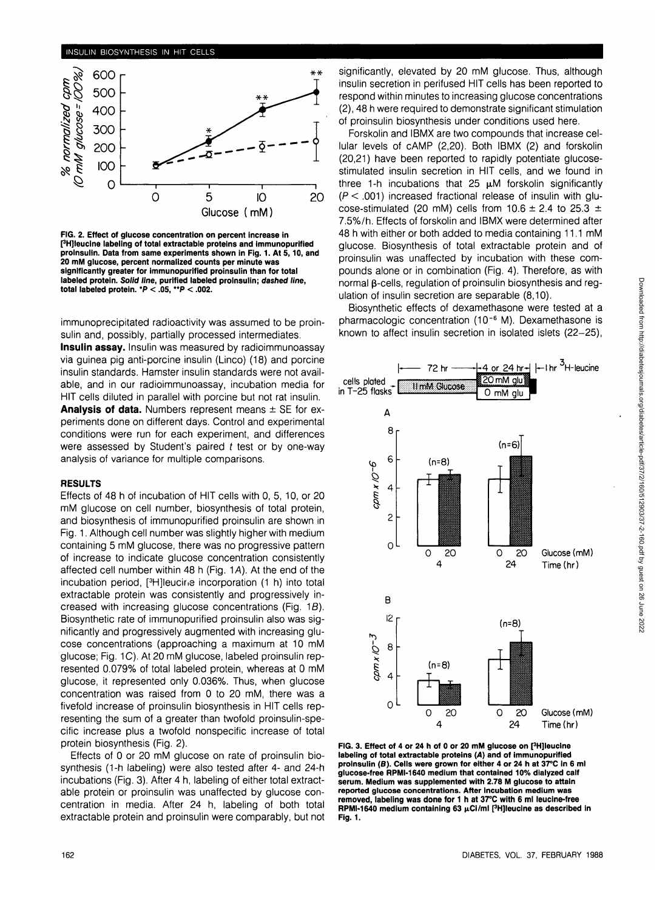

**FIG. 2. Effect of glucose concentration on percent increase in pHJIeucine labeling of total extractable proteins and immunopurified proinsulin. Data from same experiments shown in Fig. 1. At 5,10, and 20 mM glucose, percent normalized counts per minute was significantly greater for immunopurified proinsulin than for total labeled protein. Solid line, purified labeled proinsulin; dashed line, total labeled protein. \*P < .05, "P < .002.**

immunoprecipitated radioactivity was assumed to be proinsulin and, possibly, partially processed intermediates.

**Insulin assay.** Insulin was measured by radioimmunoassay via guinea pig anti-porcine insulin (Linco) (18) and porcine insulin standards. Hamster insulin standards were not available, and in our radioimmunoassay, incubation media for HIT cells diluted in parallel with porcine but not rat insulin. **Analysis of data.** Numbers represent means ± SE for experiments done on different days. Control and experimental conditions were run for each experiment, and differences were assessed by Student's paired  $t$  test or by one-way analysis of variance for multiple comparisons.

#### **RESULTS**

Effects of 48 h of incubation of HIT cells with 0, 5, 10, or 20 mM glucose on cell number, biosynthesis of total protein, and biosynthesis of immunopurified proinsulin are shown in Fig. 1. Although cell number was slightly higher with medium containing 5 mM glucose, there was no progressive pattern of increase to indicate glucose concentration consistently affected cell number within  $48$  h (Fig.  $1A$ ). At the end of the incubation period, [<sup>3</sup> H]leucine incorporation (1 h) into total extractable protein was consistently and progressively increased with increasing glucose concentrations (Fig. 1S). Biosynthetic rate of immunopurified proinsulin also was significantly and progressively augmented with increasing glucose concentrations (approaching a maximum at 10 mM glucose; Fig. 1C). At 20 mM glucose, labeled proinsulin represented 0.079% of total labeled protein, whereas at 0 mM glucose, it represented only 0.036%. Thus, when glucose concentration was raised from 0 to 20 mM, there was a fivefold increase of proinsulin biosynthesis in HIT cells representing the sum of a greater than twofold proinsulin-specific increase plus a twofold nonspecific increase of total protein biosynthesis (Fig. 2).

Effects of 0 or 20 mM glucose on rate of proinsulin biosynthesis (1-h labeling) were also tested after 4- and 24-h incubations (Fig. 3). After 4 h, labeling of either total extractable protein or proinsulin was unaffected by glucose concentration in media. After 24 h, labeling of both total extractable protein and proinsulin were comparably, but not

significantly, elevated by 20 mM glucose. Thus, although insulin secretion in perifused HIT cells has been reported to respond within minutes to increasing glucose concentrations (2), 48 h were required to demonstrate significant stimulation of proinsulin biosynthesis under conditions used here.

Forskolin and IBMX are two compounds that increase cellular levels of cAMP (2,20). Both IBMX (2) and forskolin (20,21) have been reported to rapidly potentiate glucosestimulated insulin secretion in HIT cells, and we found in three 1-h incubations that 25  $\mu$ M forskolin significantly  $(P < .001)$  increased fractional release of insulin with glucose-stimulated (20 mM) cells from  $10.6 \pm 2.4$  to 25.3  $\pm$ 7.5%/h. Effects of forskolin and IBMX were determined after 48 h with either or both added to media containing 11.1 mM glucose. Biosynthesis of total extractable protein and of proinsulin was unaffected by incubation with these compounds alone or in combination (Fig. 4). Therefore, as with normal B-cells, regulation of proinsulin biosynthesis and regulation of insulin secretion are separable (8,10).

Biosynthetic effects of dexamethasone were tested at a pharmacologic concentration (10~<sup>6</sup> M). Dexamethasone is known to affect insulin secretion in isolated islets (22-25),



**FIG. 3. Effect of 4 or 24 h of 0 or 20 mM glucose on [3 H]leucine labeling of total extractable proteins (A) and of immunopurified proinsulin (B). Cells were grown for either 4 or 24 h at 37°C in 6 ml glucose-free RPMI-1640 medium that contained 10% dialyzed calf serum. Medium was supplemented with 2.78 M glucose to attain reported glucose concentrations. After incubation medium was removed, labeling was done for 1 h at 37°C with 6 ml leucine-free RPMI-1640 medium containing 63 pCi/ml [3 H]leucine as described in Fig. 1.**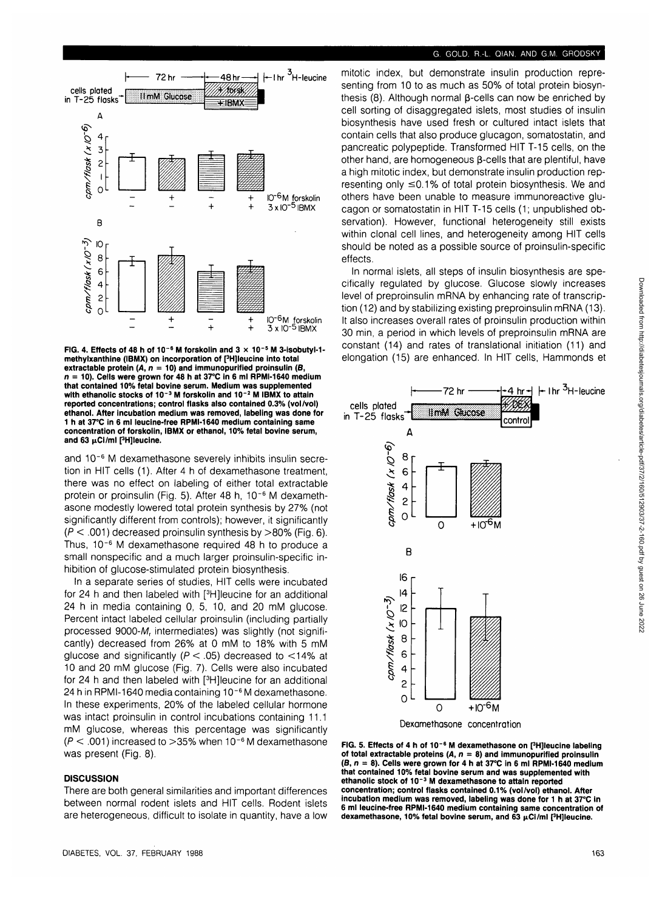# **G. GOLD, R.-L. QIAN, AND G.M. GRODSKY**



**FIG. 4. Effects of 48 h of 10~<sup>6</sup> M forskolin and 3 x 10"<sup>5</sup> M 3-isobutyl-1 methylxanthine (IBMX) on incorporation of [3 H]leucine into total extractable protein (A, n = 10) and immunopurified proinsulin (S, n = 10). Cells were grown for 48 h at 37°C in 6 ml RPMI-1640 medium that contained 10% fetal bovine serum. Medium was supplemented with ethanolic stocks of 10~<sup>3</sup> M forskolin and 10~<sup>2</sup> M IBMX to attain reported concentrations; control flasks also contained 0.3% (vol/vol) ethanol. After incubation medium was removed, labeling was done for 1 h at 37°C in 6 ml leucine-free RPMI-1640 medium containing same concentration of forskolin, IBMX or ethanol, 10% fetal bovine serum,** and 63 µCi/ml [<sup>3</sup>H]leucine.

and 10~6 M dexamethasone severely inhibits insulin secretion in HIT cells (1). After 4 h of dexamethasone treatment, there was no effect on labeling of either total extractable protein or proinsulin (Fig. 5). After 48 h, 10<sup>-6</sup> M dexamethasone modestly lowered total protein synthesis by 27% (not significantly different from controls); however, it significantly  $(P < .001)$  decreased proinsulin synthesis by  $> 80\%$  (Fig. 6). Thus, 10<sup>-6</sup> M dexamethasone required 48 h to produce a small nonspecific and a much larger proinsulin-specific inhibition of glucose-stimulated protein biosynthesis.

In a separate series of studies, HIT cells were incubated for 24 h and then labeled with [<sup>3</sup>H]leucine for an additional 24 h in media containing 0, 5, 10, and 20 mM glucose. Percent intact labeled cellular proinsulin (including partially processed 9000-M, intermediates) was slightly (not significantly) decreased from 26% at 0 mM to 18% with 5 mM glucose and significantly ( $P < .05$ ) decreased to  $< 14\%$  at 10 and 20 mM glucose (Fig. 7). Cells were also incubated for 24 h and then labeled with [<sup>3</sup>H]leucine for an additional 24 h in RPMI-1640 media containing 10<sup>-6</sup> M dexamethasone. In these experiments, 20% of the labeled cellular hormone was intact proinsulin in control incubations containing 11.1 mM glucose, whereas this percentage was significantly  $(P < .001)$  increased to  $>$ 35% when 10<sup>-6</sup> M dexamethasone was present (Fig. 8).

### **DISCUSSION**

There are both general similarities and important differences between normal rodent islets and HIT cells. Rodent islets are heterogeneous, difficult to isolate in quantity, have a low mitotic index, but demonstrate insulin production representing from 10 to as much as 50% of total protein biosynthesis  $(8)$ . Although normal  $\beta$ -cells can now be enriched by cell sorting of disaggregated islets, most studies of insulin biosynthesis have used fresh or cultured intact islets that contain cells that also produce glucagon, somatostatin, and pancreatic polypeptide. Transformed HIT T-15 cells, on the other hand, are homogeneous  $\beta$ -cells that are plentiful, have a high mitotic index, but demonstrate insulin production representing only  $\leq$ 0.1% of total protein biosynthesis. We and others have been unable to measure immunoreactive glucagon or somatostatin in HIT T-15 cells (1; unpublished observation). However, functional heterogeneity still exists within clonal cell lines, and heterogeneity among HIT cells should be noted as a possible source of proinsulin-specific effects.

In normal islets, all steps of insulin biosynthesis are specifically regulated by glucose. Glucose slowly increases level of preproinsulin mRNA by enhancing rate of transcription (12) and by stabilizing existing preproinsulin mRNA (13). It also increases overall rates of proinsulin production within 30 min, a period in which levels of preproinsulin mRNA are constant (14) and rates of translational initiation (11) and elongation (15) are enhanced. In HIT cells, Hammonds et



Dexamethasone concentration

FIG. 5. Effects of 4 h of 10<sup>-6</sup> M dexamethasone on [<sup>3</sup>H]leucine labeling **of total extractable proteins (A, n = 8) and immunopurified proinsulin (B, n = 8). Cells were grown for 4 h at 37°C in 6 ml RPMI-1640 medium that contained 10% fetal bovine serum and was supplemented with ethanolic stock of 10~<sup>3</sup> M dexamethasone to attain reported concentration; control flasks contained 0.1% (vol/vol) ethanol. After incubation medium was removed, labeling was done for 1 h at 37°C in 6 ml leucine-free RPMI-1640 medium containing same concentration of dexamethasone, 10% fetal bovine serum, and 63 jtCi/ml [<sup>3</sup> H]leucine.**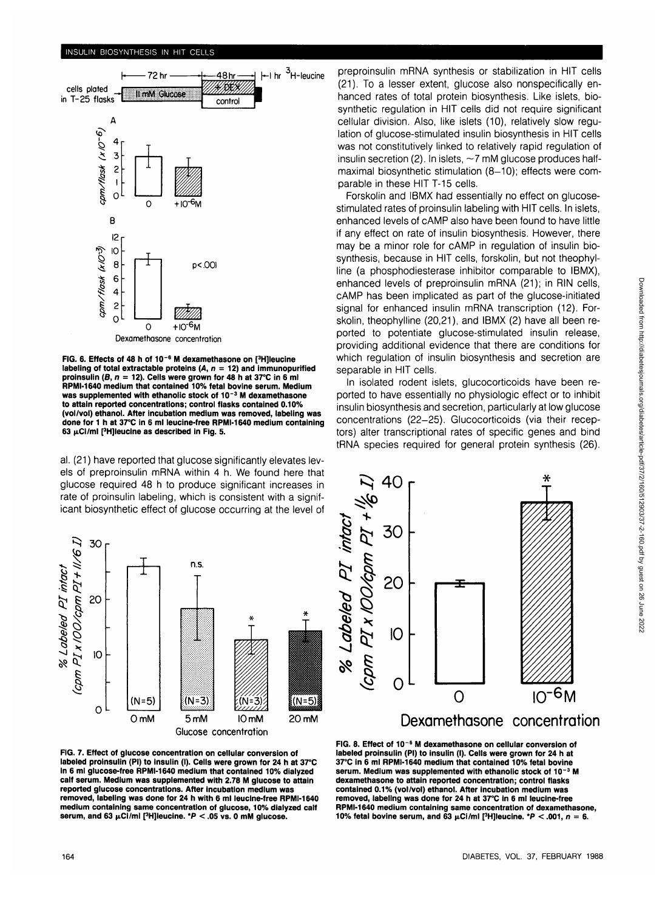#### **INSULIN BIOSYNTHESIS IN HIT CELLS**



**FIG. 6. Effects of 48 h of 10"<sup>6</sup> M dexamethasone on [<sup>3</sup> H]leucine** labeling of total extractable proteins  $(A, n = 12)$  and immunopurified **proinsulin (B, n = 12). Cells were grown for 48 h at 37°C in 6 ml RPMI-1640 medium that contained 10% fetal bovine serum. Medium was supplemented with ethanolic stock of 10~<sup>3</sup> M dexamethasone to attain reported concentrations; control flasks contained 0.10% (vol/vol) ethanol. After incubation medium was removed, labeling was done for 1 h at 37°C in 6 ml leucine-free RPMI-1640 medium containing 63 |iCi/ml pHJIeucine as described in Fig. 5.**

al. (21) have reported that glucose significantly elevates levels of preproinsulin mRNA within 4 h. We found here that glucose required 48 h to produce significant increases in rate of proinsulin labeling, which is consistent with a significant biosynthetic effect of glucose occurring at the level of



**FIG. 7. Effect of glucose concentration on cellular conversion of labeled proinsulin (PI) to insulin (I). Cells were grown for 24 h at 37°C in 6 ml glucose-free RPMI-1640 medium that contained 10% dialyzed calf serum. Medium was supplemented with 2.78 M glucose to attain reported glucose concentrations. After incubation medium was removed, labeling was done for 24 h with 6 ml leucine-free RPMI-1640 medium containing same concentration of glucose, 10% dialyzed calf serum, and 63 μCi/ml [<sup>3</sup>H]leucine. \*P < .05 vs. 0 mM glucose.** 

preproinsulin mRNA synthesis or stabilization in HIT cells (21). To a lesser extent, glucose also nonspecifically enhanced rates of total protein biosynthesis. Like islets, biosynthetic regulation in HIT cells did not require significant cellular division. Also, like islets (10), relatively slow regulation of glucose-stimulated insulin biosynthesis in HIT cells was not constitutively linked to relatively rapid regulation of insulin secretion (2). In islets,  $\sim$  7 mM glucose produces halfmaximal biosynthetic stimulation (8-10); effects were comparable in these HIT T-15 cells.

Forskolin and IBMX had essentially no effect on glucosestimulated rates of proinsulin labeling with HIT cells. In islets, enhanced levels of cAMP also have been found to have little if any effect on rate of insulin biosynthesis. However, there may be a minor role for cAMP in regulation of insulin biosynthesis, because in HIT cells, forskolin, but not theophylline (a phosphodiesterase inhibitor comparable to IBMX), enhanced levels of preproinsulin mRNA (21); in RIN cells, cAMP has been implicated as part of the glucose-initiated signal for enhanced insulin mRNA transcription (12). Forskolin, theophylline (20,21), and IBMX (2) have all been reported to potentiate glucose-stimulated insulin release, providing additional evidence that there are conditions for which regulation of insulin biosynthesis and secretion are separable in HIT cells.

In isolated rodent islets, glucocorticoids have been reported to have essentially no physiologic effect or to inhibit insulin biosynthesis and secretion, particularly at low glucose concentrations (22-25). Glucocorticoids (via their receptors) alter transcriptional rates of specific genes and bind tRNA species required for general protein synthesis (26).



**FIG. 8. Effect of 10~<sup>6</sup> M dexamethasone on cellular conversion of labeled proinsulin (PI) to insulin (I). Cells were grown for 24 h at 37°C in 6 ml RPMI-1640 medium that contained 10% fetal bovine serum. Medium was supplemented with ethanolic stock of 10~<sup>3</sup> M dexamethasone to attain reported concentration; control flasks contained 0.1% (vol/vol) ethanol. After incubation medium was removed, labeling was done for 24 h at 37°C in 6 ml leucine-free RPMI-1640 medium containing same concentration of dexamethasone, 10% fetal bovine serum, and 63**  $\mu$ **Ci/ml [<sup>3</sup>H] leucine. \*P < .001, n = 6.**